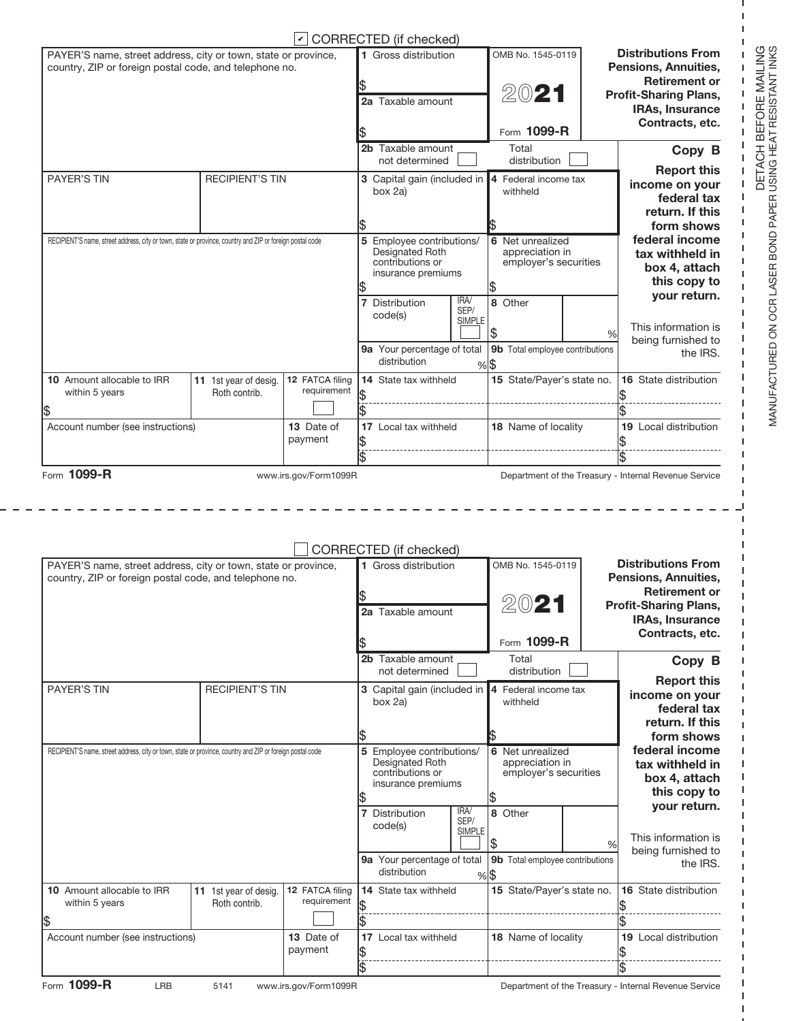|                                                                                                                          |                                        |                                | CORRECTED (if checked)                                                                               |                               |                                                              |               |                                                                                                                                                        |
|--------------------------------------------------------------------------------------------------------------------------|----------------------------------------|--------------------------------|------------------------------------------------------------------------------------------------------|-------------------------------|--------------------------------------------------------------|---------------|--------------------------------------------------------------------------------------------------------------------------------------------------------|
| PAYER'S name, street address, city or town, state or province,<br>country, ZIP or foreign postal code, and telephone no. |                                        |                                | 1 Gross distribution<br>2a Taxable amount                                                            |                               | OMB No. 1545-0119<br>2021<br>Form 1099-R                     |               | <b>Distributions From</b><br>Pensions, Annuities,<br><b>Retirement or</b><br><b>Profit-Sharing Plans,</b><br><b>IRAs, Insurance</b><br>Contracts, etc. |
|                                                                                                                          |                                        |                                | 2b Taxable amount                                                                                    |                               | Total                                                        |               | Copy B                                                                                                                                                 |
|                                                                                                                          |                                        |                                | not determined                                                                                       |                               | distribution                                                 |               | <b>Report this</b>                                                                                                                                     |
| <b>PAYER'S TIN</b>                                                                                                       | <b>RECIPIENT'S TIN</b>                 |                                | 3 Capital gain (included in<br>box 2a)                                                               |                               | 4 Federal income tax<br>withheld                             |               | income on your<br>federal tax<br>return. If this<br>form shows                                                                                         |
| RECIPIENT'S name, street address, city or town, state or province, country and ZIP or foreign postal code                |                                        |                                | 5 Employee contributions/<br><b>Designated Roth</b><br>contributions or<br>insurance premiums        |                               | 6 Net unrealized<br>appreciation in<br>employer's securities |               | federal income<br>tax withheld in<br>box 4, attach<br>this copy to                                                                                     |
|                                                                                                                          |                                        |                                | Distribution<br>code(s)<br>9a Your percentage of total                                               | IRA/<br>SEP/<br><b>SIMPLE</b> | 8 Other<br>S<br>9b Total employee contributions              | %             | your return.<br>This information is<br>being furnished to<br>the IRS.                                                                                  |
|                                                                                                                          |                                        |                                | distribution                                                                                         |                               | $%$ \$                                                       |               |                                                                                                                                                        |
| 10 Amount allocable to IRR<br>within 5 years                                                                             | 11 1st year of desig.<br>Roth contrib. | 12 FATCA filing<br>requirement | <b>14</b> State tax withheld                                                                         |                               | 15 State/Payer's state no.                                   |               | 16 State distribution                                                                                                                                  |
| \$                                                                                                                       |                                        |                                |                                                                                                      |                               |                                                              |               |                                                                                                                                                        |
| Account number (see instructions)                                                                                        |                                        | 13 Date of<br>payment          | 17 Local tax withheld                                                                                |                               | 18 Name of locality                                          |               | <b>19</b> Local distribution                                                                                                                           |
|                                                                                                                          |                                        |                                |                                                                                                      |                               |                                                              |               |                                                                                                                                                        |
| Form 1099-R                                                                                                              |                                        | www.irs.gov/Form1099R          |                                                                                                      |                               |                                                              |               | Department of the Treasury - Internal Revenue Service                                                                                                  |
| PAYER'S name, street address, city or town, state or province,<br>country, ZIP or foreign postal code, and telephone no. |                                        |                                | CORRECTED (if checked)<br>1 Gross distribution                                                       |                               | OMB No. 1545-0119                                            |               | <b>Distributions From</b><br>Pensions, Annuities,<br><b>Retirement or</b>                                                                              |
|                                                                                                                          |                                        |                                | 2a Taxable amount                                                                                    |                               | 20                                                           |               | <b>Profit-Sharing Plans,</b><br>IRAs, Insurance<br>Contracts, etc.                                                                                     |
|                                                                                                                          |                                        |                                |                                                                                                      |                               | Form 1099-R                                                  |               |                                                                                                                                                        |
|                                                                                                                          |                                        |                                | 2b Taxable amount<br>not determined                                                                  |                               | Total<br>distribution                                        |               | Copy B                                                                                                                                                 |
| <b>PAYER'S TIN</b>                                                                                                       | <b>RECIPIENT'S TIN</b>                 |                                | 3 Capital gain (included in<br>box 2a)                                                               |                               | 4 Federal income tax<br>withheld                             |               | <b>Report this</b><br>income on your<br>federal tax<br>return. If this                                                                                 |
| RECIPIENT'S name, street address, city or town, state or province, country and ZIP or foreign postal code                |                                        |                                | 1\$<br>5 Employee contributions/<br><b>Designated Roth</b><br>contributions or<br>insurance premiums |                               | 6 Net unrealized<br>appreciation in<br>employer's securities |               | form shows<br>federal income<br>tax withheld in<br>box 4, attach<br>this copy to                                                                       |
|                                                                                                                          |                                        |                                | Distribution<br>7<br>code(s)                                                                         | IRA/<br>SEP/<br><b>SIMPLE</b> | 8 Other<br>\$                                                | $\frac{0}{0}$ | your return.<br>This information is<br>being furnished to                                                                                              |
|                                                                                                                          |                                        |                                | 9a Your percentage of total<br>distribution                                                          |                               | 9b Total employee contributions<br>$%$ \$                    |               | the IRS.                                                                                                                                               |
| 10 Amount allocable to IRR<br>within 5 years                                                                             | 11 1st year of desig.<br>Roth contrib. | 12 FATCA filing<br>requirement | 14 State tax withheld                                                                                |                               | 15 State/Payer's state no.                                   |               | 16 State distribution                                                                                                                                  |
| \$<br>Account number (see instructions)                                                                                  |                                        | 13 Date of<br>payment          | 17 Local tax withheld                                                                                |                               | 18 Name of locality                                          |               | 19 Local distribution                                                                                                                                  |

ı ı 1  $\mathbf{I}$ **I** ı

ı ٠

1 ı I ┚

 $\overline{1}$ I

I  $\mathsf I$ 

ı

ı

 $\mathbf I$ L  $\mathsf I$  $\mathbf I$  $\mathbf{I}$  $\mathsf I$  $\mathbf{I}$ I. J. Ī I. I  $\mathbf{I}$ 1

 $-$